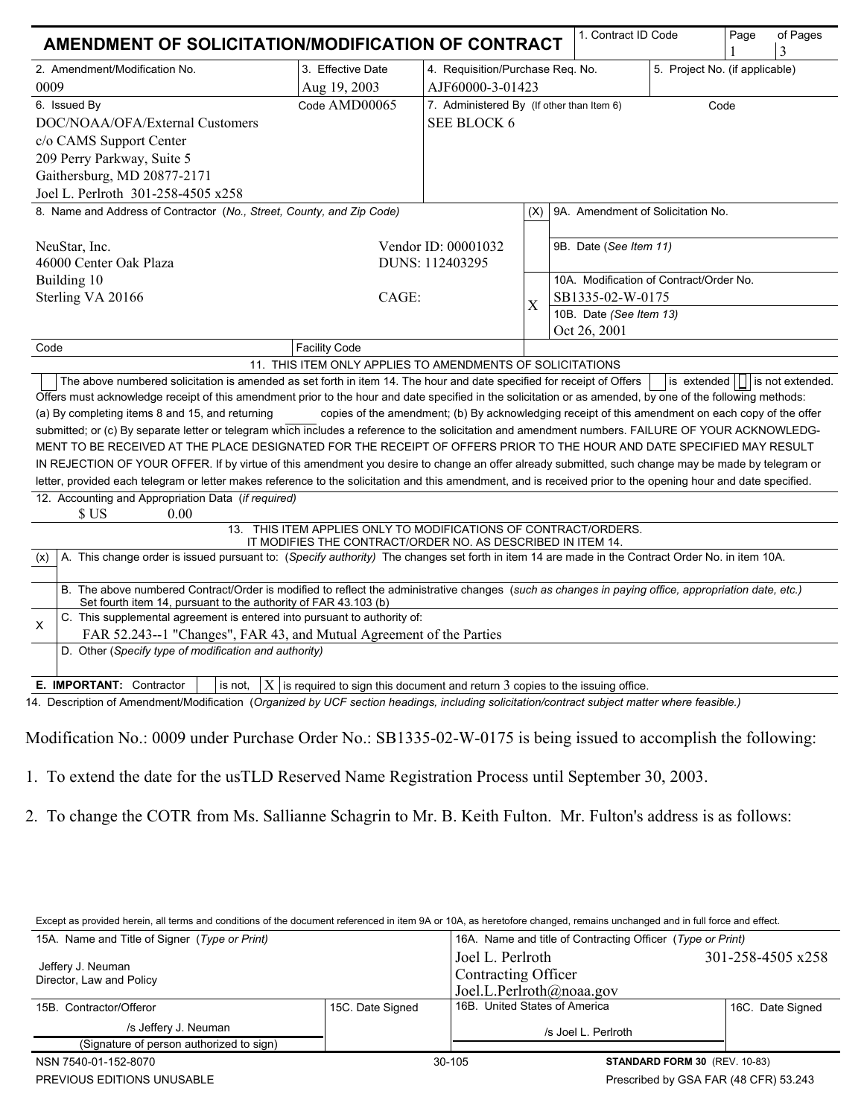| AMENDMENT OF SOLICITATION/MODIFICATION OF CONTRACT                                                                                                                                                                                                                                                                        |                                                           |                                                                    |     | 1. Contract ID Code               |                                         | Page | of Pages<br>3 |
|---------------------------------------------------------------------------------------------------------------------------------------------------------------------------------------------------------------------------------------------------------------------------------------------------------------------------|-----------------------------------------------------------|--------------------------------------------------------------------|-----|-----------------------------------|-----------------------------------------|------|---------------|
| 2. Amendment/Modification No.                                                                                                                                                                                                                                                                                             | 3. Effective Date                                         | 4. Requisition/Purchase Req. No.<br>5. Project No. (if applicable) |     |                                   |                                         |      |               |
| 0009                                                                                                                                                                                                                                                                                                                      | Aug 19, 2003                                              | AJF60000-3-01423                                                   |     |                                   |                                         |      |               |
| 6. Issued By                                                                                                                                                                                                                                                                                                              | Code AMD00065                                             | 7. Administered By (If other than Item 6)<br>Code                  |     |                                   |                                         |      |               |
| DOC/NOAA/OFA/External Customers                                                                                                                                                                                                                                                                                           |                                                           | <b>SEE BLOCK 6</b>                                                 |     |                                   |                                         |      |               |
| c/o CAMS Support Center                                                                                                                                                                                                                                                                                                   |                                                           |                                                                    |     |                                   |                                         |      |               |
| 209 Perry Parkway, Suite 5                                                                                                                                                                                                                                                                                                |                                                           |                                                                    |     |                                   |                                         |      |               |
| Gaithersburg, MD 20877-2171                                                                                                                                                                                                                                                                                               |                                                           |                                                                    |     |                                   |                                         |      |               |
| Joel L. Perlroth 301-258-4505 x258                                                                                                                                                                                                                                                                                        |                                                           |                                                                    |     |                                   |                                         |      |               |
| 8. Name and Address of Contractor (No., Street, County, and Zip Code)                                                                                                                                                                                                                                                     |                                                           |                                                                    | (X) | 9A. Amendment of Solicitation No. |                                         |      |               |
| NeuStar, Inc.                                                                                                                                                                                                                                                                                                             | Vendor ID: 00001032                                       |                                                                    |     | 9B. Date (See Item 11)            |                                         |      |               |
| 46000 Center Oak Plaza                                                                                                                                                                                                                                                                                                    |                                                           | DUNS: 112403295                                                    |     |                                   |                                         |      |               |
| Building 10                                                                                                                                                                                                                                                                                                               |                                                           |                                                                    |     |                                   | 10A. Modification of Contract/Order No. |      |               |
| Sterling VA 20166                                                                                                                                                                                                                                                                                                         | CAGE:                                                     |                                                                    | Χ   | SB1335-02-W-0175                  |                                         |      |               |
|                                                                                                                                                                                                                                                                                                                           |                                                           |                                                                    |     | 10B. Date (See Item 13)           |                                         |      |               |
|                                                                                                                                                                                                                                                                                                                           |                                                           |                                                                    |     | Oct 26, 2001                      |                                         |      |               |
| Code                                                                                                                                                                                                                                                                                                                      | <b>Facility Code</b>                                      |                                                                    |     |                                   |                                         |      |               |
|                                                                                                                                                                                                                                                                                                                           | 11. THIS ITEM ONLY APPLIES TO AMENDMENTS OF SOLICITATIONS |                                                                    |     |                                   |                                         |      |               |
| The above numbered solicitation is amended as set forth in item 14. The hour and date specified for receipt of Offers<br>is extended       is not extended.<br>Offers must acknowledge receipt of this amendment prior to the hour and date specified in the solicitation or as amended, by one of the following methods: |                                                           |                                                                    |     |                                   |                                         |      |               |
| (a) By completing items 8 and 15, and returning<br>copies of the amendment; (b) By acknowledging receipt of this amendment on each copy of the offer                                                                                                                                                                      |                                                           |                                                                    |     |                                   |                                         |      |               |
| submitted; or (c) By separate letter or telegram which includes a reference to the solicitation and amendment numbers. FAILURE OF YOUR ACKNOWLEDG-                                                                                                                                                                        |                                                           |                                                                    |     |                                   |                                         |      |               |
| MENT TO BE RECEIVED AT THE PLACE DESIGNATED FOR THE RECEIPT OF OFFERS PRIOR TO THE HOUR AND DATE SPECIFIED MAY RESULT                                                                                                                                                                                                     |                                                           |                                                                    |     |                                   |                                         |      |               |
| IN REJECTION OF YOUR OFFER. If by virtue of this amendment you desire to change an offer already submitted, such change may be made by telegram or                                                                                                                                                                        |                                                           |                                                                    |     |                                   |                                         |      |               |
| letter, provided each telegram or letter makes reference to the solicitation and this amendment, and is received prior to the opening hour and date specified.                                                                                                                                                            |                                                           |                                                                    |     |                                   |                                         |      |               |
| 12. Accounting and Appropriation Data (if required)<br>\$US<br>0.00                                                                                                                                                                                                                                                       |                                                           |                                                                    |     |                                   |                                         |      |               |
| 13. THIS ITEM APPLIES ONLY TO MODIFICATIONS OF CONTRACT/ORDERS.                                                                                                                                                                                                                                                           |                                                           |                                                                    |     |                                   |                                         |      |               |
| IT MODIFIES THE CONTRACT/ORDER NO. AS DESCRIBED IN ITEM 14.<br>A. This change order is issued pursuant to: (Specify authority) The changes set forth in item 14 are made in the Contract Order No. in item 10A.<br>(x)                                                                                                    |                                                           |                                                                    |     |                                   |                                         |      |               |
| B. The above numbered Contract/Order is modified to reflect the administrative changes (such as changes in paying office, appropriation date, etc.)<br>Set fourth item 14, pursuant to the authority of FAR 43.103 (b)                                                                                                    |                                                           |                                                                    |     |                                   |                                         |      |               |
| C. This supplemental agreement is entered into pursuant to authority of:<br>X                                                                                                                                                                                                                                             |                                                           |                                                                    |     |                                   |                                         |      |               |
| FAR 52.243--1 "Changes", FAR 43, and Mutual Agreement of the Parties                                                                                                                                                                                                                                                      |                                                           |                                                                    |     |                                   |                                         |      |               |
| D. Other (Specify type of modification and authority)                                                                                                                                                                                                                                                                     |                                                           |                                                                    |     |                                   |                                         |      |               |
| E. IMPORTANT: Contractor<br>is not.<br>$ X $ is required to sign this document and return 3 copies to the issuing office.                                                                                                                                                                                                 |                                                           |                                                                    |     |                                   |                                         |      |               |
| 14. Description of Amendment/Modification (Organized by UCF section headings, including solicitation/contract subject matter where feasible.)                                                                                                                                                                             |                                                           |                                                                    |     |                                   |                                         |      |               |

Modification No.: 0009 under Purchase Order No.: SB1335-02-W-0175 is being issued to accomplish the following:

- 1. To extend the date for the usTLD Reserved Name Registration Process until September 30, 2003.
- 2. To change the COTR from Ms. Sallianne Schagrin to Mr. B. Keith Fulton. Mr. Fulton's address is as follows:

Except as provided herein, all terms and conditions of the document referenced in item 9A or 10A, as heretofore changed, remains unchanged and in full force and effect.

| LACER as provided nerent, an terms and conditions of the document referenced in Rein 3A of TOA, as heretolore changed, remains unchanged and in full force and enect. |                  |                                                                     |                   |  |  |  |  |
|-----------------------------------------------------------------------------------------------------------------------------------------------------------------------|------------------|---------------------------------------------------------------------|-------------------|--|--|--|--|
| 15A. Name and Title of Signer (Type or Print)                                                                                                                         |                  | 16A. Name and title of Contracting Officer (Type or Print)          |                   |  |  |  |  |
| Jeffery J. Neuman<br>Director, Law and Policy                                                                                                                         |                  | Joel L. Perlroth<br>Contracting Officer<br>Joel.L.Perlroth@noaa.gov | 301-258-4505 x258 |  |  |  |  |
| 15B. Contractor/Offeror                                                                                                                                               | 15C. Date Signed | 16B. United States of America                                       | 16C. Date Signed  |  |  |  |  |
| /s Jeffery J. Neuman                                                                                                                                                  |                  | /s Joel L. Perlroth                                                 |                   |  |  |  |  |
| (Signature of person authorized to sign)                                                                                                                              |                  |                                                                     |                   |  |  |  |  |
| NSN 7540-01-152-8070                                                                                                                                                  |                  | 30-105<br><b>STANDARD FORM 30 (REV. 10-83)</b>                      |                   |  |  |  |  |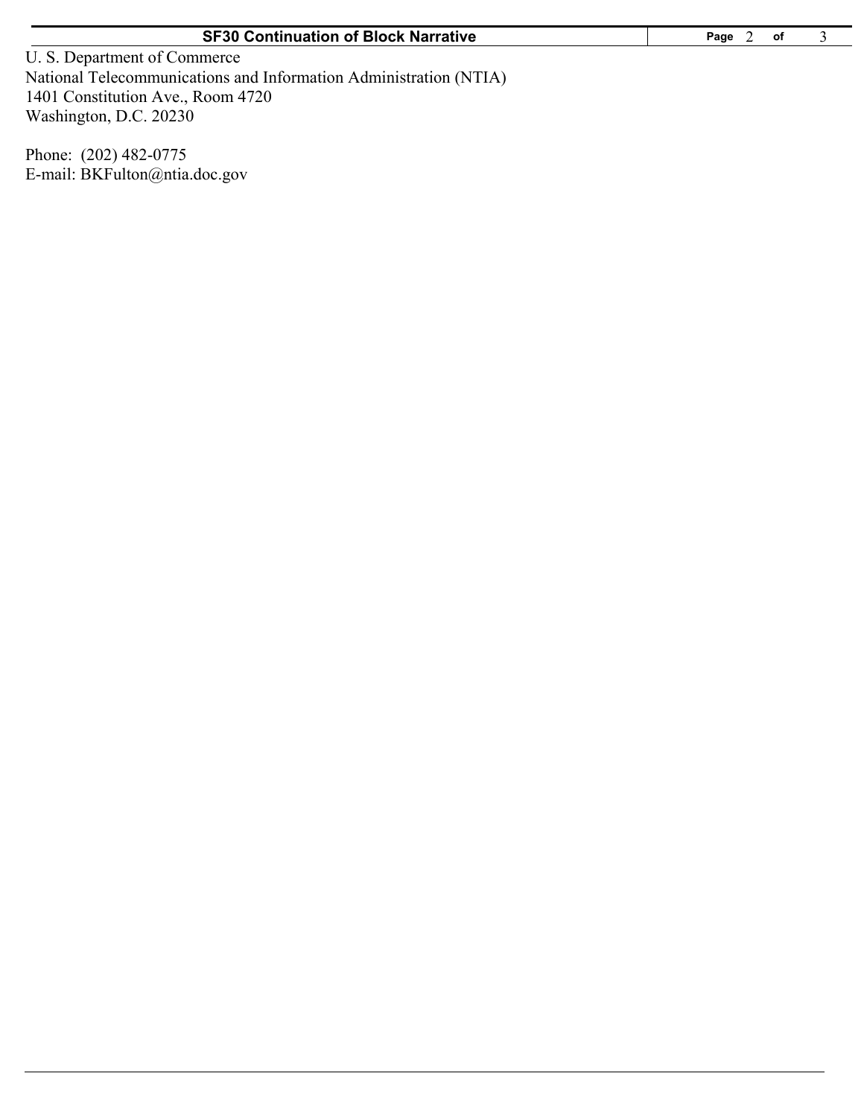U. S. Department of Commerce National Telecommunications and Information Administration (NTIA) 1401 Constitution Ave., Room 4720 Washington, D.C. 20230

Phone: (202) 482-0775 E-mail: BKFulton@ntia.doc.gov 3